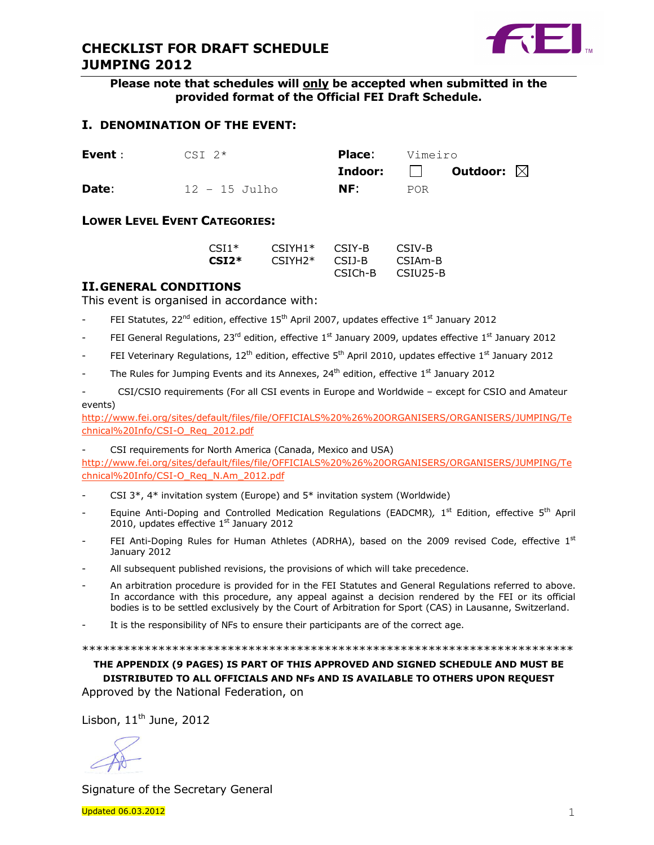



Please note that schedules will only be accepted when submitted in the provided format of the Official FEI Draft Schedule.

## I. DENOMINATION OF THE EVENT:

| Event : | $CST$ $2*$    | <b>Place:</b> Vimeiro |      |                                            |  |
|---------|---------------|-----------------------|------|--------------------------------------------|--|
|         |               |                       |      | <b>Indoor:</b> $\Box$ Outdoor: $\boxtimes$ |  |
| Date:   | 12 - 15 Julho | NF:                   | POR. |                                            |  |

#### LOWER LEVEL EVENT CATEGORIES:

| CSI1* | $CSTYH1*$ | CSIY-B  | CSIV-B               |
|-------|-----------|---------|----------------------|
| CSI2* | $CSTYH2*$ | CSU-B   | CSIA <sub>m</sub> -B |
|       |           | CSICh-B | CSIU25-B             |

### II.GENERAL CONDITIONS

This event is organised in accordance with:

- FEI Statutes,  $22^{nd}$  edition, effective  $15^{th}$  April 2007, updates effective  $1^{st}$  January 2012
- FEI General Regulations, 23<sup>rd</sup> edition, effective 1<sup>st</sup> January 2009, updates effective 1<sup>st</sup> January 2012
- FEI Veterinary Regulations, 12<sup>th</sup> edition, effective 5<sup>th</sup> April 2010, updates effective 1<sup>st</sup> January 2012
- The Rules for Jumping Events and its Annexes,  $24<sup>th</sup>$  edition, effective  $1<sup>st</sup>$  January 2012

- CSI/CSIO requirements (For all CSI events in Europe and Worldwide – except for CSIO and Amateur events)

http://www.fei.org/sites/default/files/file/OFFICIALS%20%26%20ORGANISERS/ORGANISERS/JUMPING/Te chnical%20Info/CSI-O\_Req\_2012.pdf

CSI requirements for North America (Canada, Mexico and USA)

http://www.fei.org/sites/default/files/file/OFFICIALS%20%26%20ORGANISERS/ORGANISERS/JUMPING/Te chnical%20Info/CSI-O\_Req\_N.Am\_2012.pdf

- CSI  $3^*$ ,  $4^*$  invitation system (Europe) and  $5^*$  invitation system (Worldwide)
- Equine Anti-Doping and Controlled Medication Regulations (EADCMR), 1<sup>st</sup> Edition, effective 5<sup>th</sup> April 2010, updates effective 1st January 2012
- FEI Anti-Doping Rules for Human Athletes (ADRHA), based on the 2009 revised Code, effective  $1<sup>st</sup>$ January 2012
- All subsequent published revisions, the provisions of which will take precedence.
- An arbitration procedure is provided for in the FEI Statutes and General Regulations referred to above. In accordance with this procedure, any appeal against a decision rendered by the FEI or its official bodies is to be settled exclusively by the Court of Arbitration for Sport (CAS) in Lausanne, Switzerland.
- It is the responsibility of NFs to ensure their participants are of the correct age.

#### \*\*\*\*\*\*\*\*\*\*\*\*\*\*\*\*\*\*\*\*\*\*\*\*\*\*\*\*\*\*\*\*\*\*\*\*\*\*\*\*\*\*\*\*\*\*\*\*\*\*\*\*\*\*\*\*\*\*\*\*\*\*\*\*\*\*\*\*\*\*\*

THE APPENDIX (9 PAGES) IS PART OF THIS APPROVED AND SIGNED SCHEDULE AND MUST BE DISTRIBUTED TO ALL OFFICIALS AND NFs AND IS AVAILABLE TO OTHERS UPON REQUEST Approved by the National Federation, on

Lisbon,  $11<sup>th</sup>$  June, 2012

Signature of the Secretary General

 $U$ pdated 06.03.2012  $1$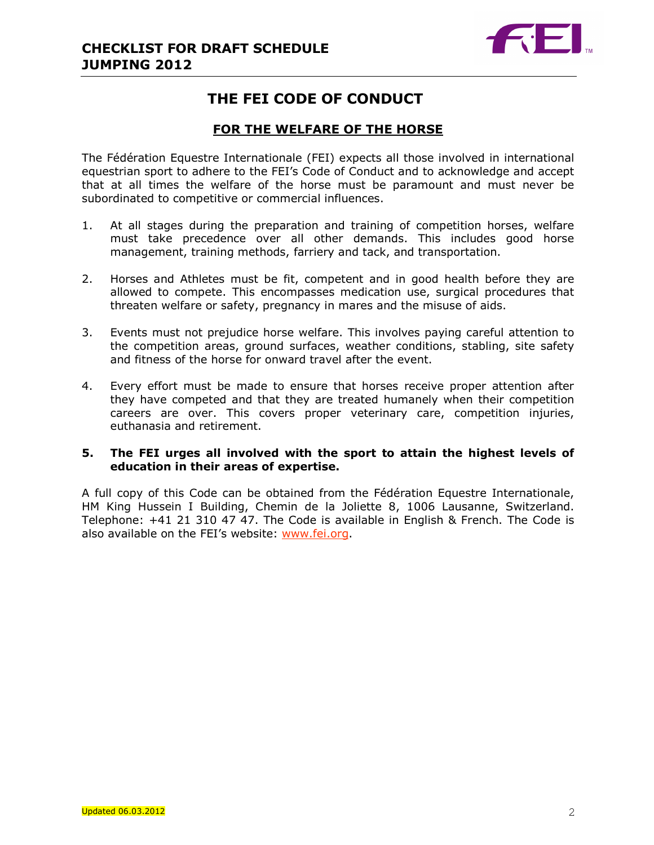

# THE FEI CODE OF CONDUCT

## FOR THE WELFARE OF THE HORSE

The Fédération Equestre Internationale (FEI) expects all those involved in international equestrian sport to adhere to the FEI's Code of Conduct and to acknowledge and accept that at all times the welfare of the horse must be paramount and must never be subordinated to competitive or commercial influences.

- 1. At all stages during the preparation and training of competition horses, welfare must take precedence over all other demands. This includes good horse management, training methods, farriery and tack, and transportation.
- 2. Horses and Athletes must be fit, competent and in good health before they are allowed to compete. This encompasses medication use, surgical procedures that threaten welfare or safety, pregnancy in mares and the misuse of aids.
- 3. Events must not prejudice horse welfare. This involves paying careful attention to the competition areas, ground surfaces, weather conditions, stabling, site safety and fitness of the horse for onward travel after the event.
- 4. Every effort must be made to ensure that horses receive proper attention after they have competed and that they are treated humanely when their competition careers are over. This covers proper veterinary care, competition injuries, euthanasia and retirement.

## 5. The FEI urges all involved with the sport to attain the highest levels of education in their areas of expertise.

A full copy of this Code can be obtained from the Fédération Equestre Internationale, HM King Hussein I Building, Chemin de la Joliette 8, 1006 Lausanne, Switzerland. Telephone: +41 21 310 47 47. The Code is available in English & French. The Code is also available on the FEI's website: www.fei.org.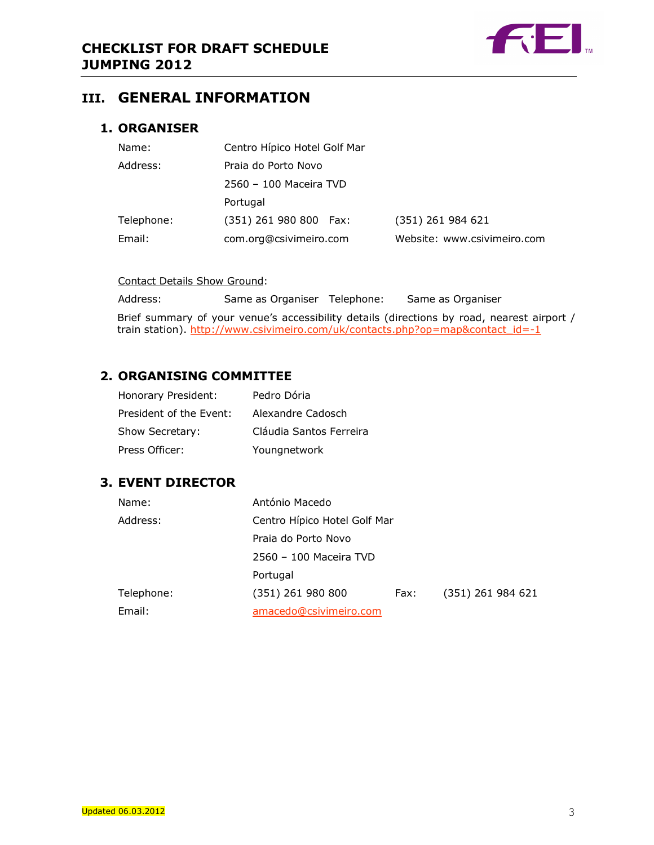

## III. GENERAL INFORMATION

## 1. ORGANISER

| Name:      | Centro Hípico Hotel Golf Mar |                             |
|------------|------------------------------|-----------------------------|
| Address:   | Praia do Porto Novo          |                             |
|            | 2560 - 100 Maceira TVD       |                             |
|            | Portugal                     |                             |
| Telephone: | (351) 261 980 800 Fax:       | (351) 261 984 621           |
| Email:     | com.org@csivimeiro.com       | Website: www.csivimeiro.com |

#### Contact Details Show Ground:

Address: Same as Organiser Telephone: Same as Organiser Brief summary of your venue's accessibility details (directions by road, nearest airport / train station). http://www.csivimeiro.com/uk/contacts.php?op=map&contact\_id=-1

## 2. ORGANISING COMMITTEE

| Honorary President:     | Pedro Dória             |
|-------------------------|-------------------------|
| President of the Event: | Alexandre Cadosch       |
| Show Secretary:         | Cláudia Santos Ferreira |
| Press Officer:          | Youngnetwork            |

## 3. EVENT DIRECTOR

| Name:      | António Macedo               |      |                   |
|------------|------------------------------|------|-------------------|
| Address:   | Centro Hípico Hotel Golf Mar |      |                   |
|            | Praia do Porto Novo          |      |                   |
|            | 2560 - 100 Maceira TVD       |      |                   |
|            | Portugal                     |      |                   |
| Telephone: | (351) 261 980 800            | Fax: | (351) 261 984 621 |
| Email:     | amacedo@csivimeiro.com       |      |                   |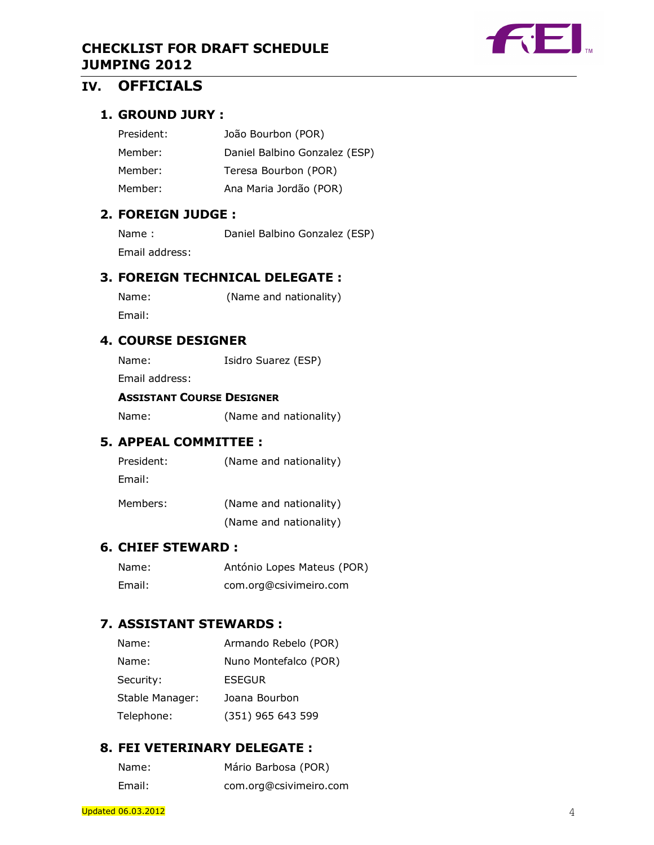



# IV. OFFICIALS

## 1. GROUND JURY :

| President: | João Bourbon (POR)            |
|------------|-------------------------------|
| Member:    | Daniel Balbino Gonzalez (ESP) |
| Member:    | Teresa Bourbon (POR)          |
| Member:    | Ana Maria Jordão (POR)        |

## 2. FOREIGN JUDGE :

| Name:          | Daniel Balbino Gonzalez (ESP) |
|----------------|-------------------------------|
| Email address: |                               |

## 3. FOREIGN TECHNICAL DELEGATE :

| Name:  | (Name and nationality) |
|--------|------------------------|
| Email: |                        |

## 4. COURSE DESIGNER

Name: Isidro Suarez (ESP)

Email address:

#### ASSISTANT COURSE DESIGNER

Name: (Name and nationality)

## 5. APPEAL COMMITTEE :

| President: | (Name and nationality) |
|------------|------------------------|
| Email:     |                        |
| Members:   | (Name and nationality) |

(Name and nationality)

## 6. CHIEF STEWARD :

| Name:  | António Lopes Mateus (POR) |
|--------|----------------------------|
| Email: | com.org@csivimeiro.com     |

## 7. ASSISTANT STEWARDS :

| Name:           | Armando Rebelo (POR)  |
|-----------------|-----------------------|
| Name:           | Nuno Montefalco (POR) |
| Security:       | ESEGUR                |
| Stable Manager: | Joana Bourbon         |
| Telephone:      | (351) 965 643 599     |

## 8. FEI VETERINARY DELEGATE :

| Name:  | Mário Barbosa (POR)    |
|--------|------------------------|
| Email: | com.org@csivimeiro.com |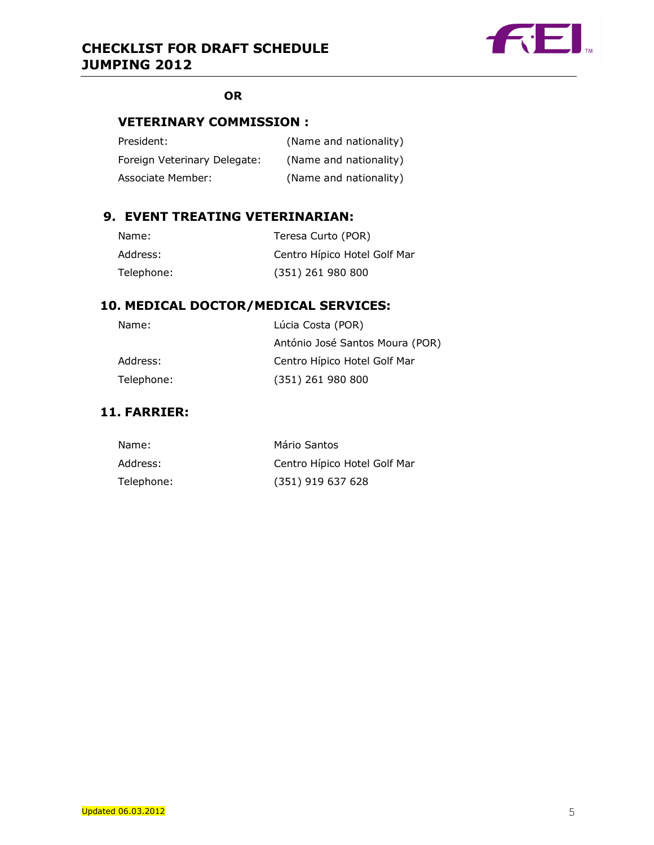

## **OR**

## VETERINARY COMMISSION :

| President:                   | (Name and nationality) |
|------------------------------|------------------------|
| Foreign Veterinary Delegate: | (Name and nationality) |
| Associate Member:            | (Name and nationality) |

## 9. EVENT TREATING VETERINARIAN:

| Name:      | Teresa Curto (POR)           |
|------------|------------------------------|
| Address:   | Centro Hípico Hotel Golf Mar |
| Telephone: | (351) 261 980 800            |

## 10. MEDICAL DOCTOR/MEDICAL SERVICES:

| Name:      | Lúcia Costa (POR)               |
|------------|---------------------------------|
|            | António José Santos Moura (POR) |
| Address:   | Centro Hípico Hotel Golf Mar    |
| Telephone: | (351) 261 980 800               |

## 11. FARRIER:

| Name:      | Mário Santos                 |
|------------|------------------------------|
| Address:   | Centro Hípico Hotel Golf Mar |
| Telephone: | (351) 919 637 628            |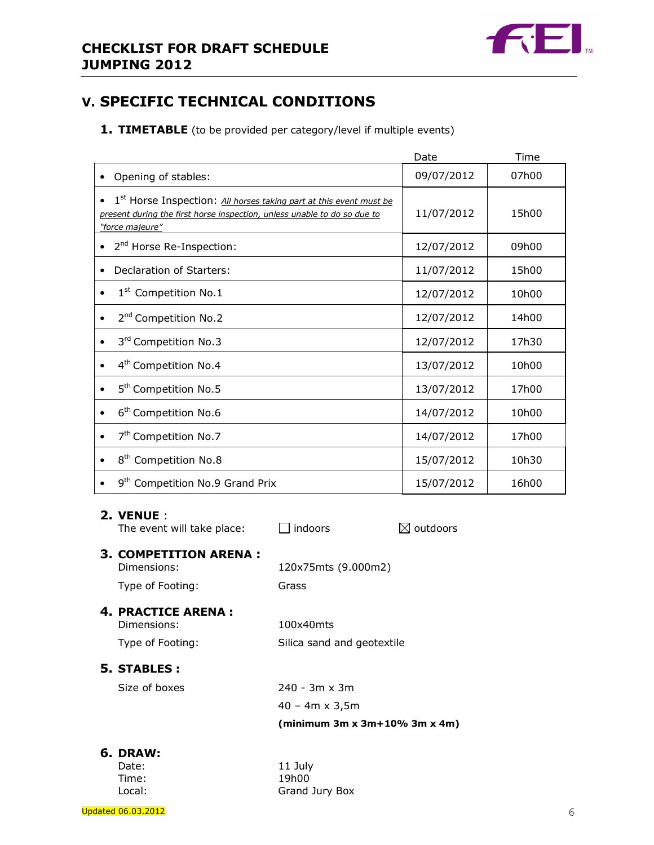

# V. SPECIFIC TECHNICAL CONDITIONS

1. TIMETABLE (to be provided per category/level if multiple events)

|                                                                                                                                                                                            | Date       | Time  |
|--------------------------------------------------------------------------------------------------------------------------------------------------------------------------------------------|------------|-------|
| Opening of stables:                                                                                                                                                                        | 09/07/2012 | 07h00 |
| 1 <sup>st</sup> Horse Inspection: All horses taking part at this event must be<br>$\bullet$<br>present during the first horse inspection, unless unable to do so due to<br>"force majeure" | 11/07/2012 | 15h00 |
| 2 <sup>nd</sup> Horse Re-Inspection:                                                                                                                                                       | 12/07/2012 | 09h00 |
| Declaration of Starters:<br>$\bullet$                                                                                                                                                      | 11/07/2012 | 15h00 |
| 1 <sup>st</sup> Competition No.1<br>$\bullet$                                                                                                                                              | 12/07/2012 | 10h00 |
| 2 <sup>nd</sup> Competition No.2<br>$\bullet$                                                                                                                                              | 12/07/2012 | 14h00 |
| 3rd Competition No.3<br>$\bullet$                                                                                                                                                          | 12/07/2012 | 17h30 |
| 4 <sup>th</sup> Competition No.4                                                                                                                                                           | 13/07/2012 | 10h00 |
| 5 <sup>th</sup> Competition No.5<br>$\bullet$                                                                                                                                              | 13/07/2012 | 17h00 |
| 6 <sup>th</sup> Competition No.6                                                                                                                                                           | 14/07/2012 | 10h00 |
| 7 <sup>th</sup> Competition No.7<br>$\bullet$                                                                                                                                              | 14/07/2012 | 17h00 |
| 8 <sup>th</sup> Competition No.8                                                                                                                                                           | 15/07/2012 | 10h30 |
| 9 <sup>th</sup> Competition No.9 Grand Prix                                                                                                                                                | 15/07/2012 | 16h00 |

### 2. VENUE :

The event will take place:  $\Box$  indoors  $\boxtimes$  outdoors 3. COMPETITION ARENA : Dimensions: 120x75mts (9.000m2) Type of Footing: Grass 4. PRACTICE ARENA : Dimensions: 100x40mts Type of Footing: Silica sand and geotextile 5. STABLES : Size of boxes 240 - 3m x 3m 40 – 4m x 3,5m (minimum 3m x 3m+10% 3m x 4m)

# 6. DRAW:

| Date:  |  |
|--------|--|
| Time:  |  |
| Local: |  |

11 July 19h00 Grand Jury Box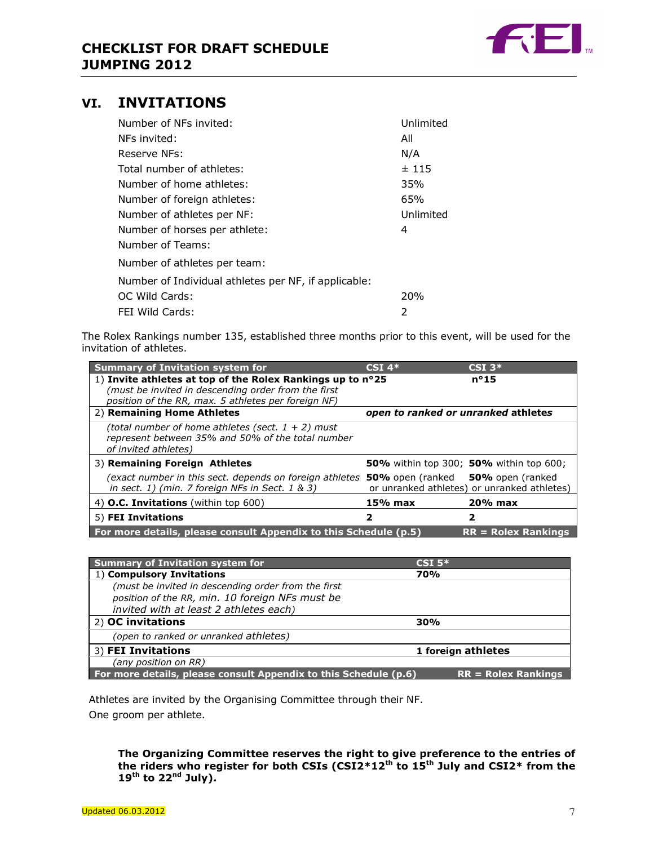

## VI. INVITATIONS

| Number of NFs invited:                               | Unlimited |
|------------------------------------------------------|-----------|
| NFs invited:                                         | All       |
| Reserve NFs:                                         | N/A       |
| Total number of athletes:                            | ±115      |
| Number of home athletes:                             | 35%       |
| Number of foreign athletes:                          | 65%       |
| Number of athletes per NF:                           | Unlimited |
| Number of horses per athlete:                        | 4         |
| Number of Teams:                                     |           |
| Number of athletes per team:                         |           |
| Number of Individual athletes per NF, if applicable: |           |
| OC Wild Cards:                                       | 20%       |
| FEI Wild Cards:                                      | 2         |

The Rolex Rankings number 135, established three months prior to this event, will be used for the invitation of athletes.

| <b>Summary of Invitation system for</b>                                                                                           | $CSI$ 4*                                        | $CSI$ 3 <sup>*</sup>                                  |
|-----------------------------------------------------------------------------------------------------------------------------------|-------------------------------------------------|-------------------------------------------------------|
| 1) Invite athletes at top of the Rolex Rankings up to n°25                                                                        |                                                 | $n^{\circ}15$                                         |
| (must be invited in descending order from the first                                                                               |                                                 |                                                       |
| position of the RR, max. 5 athletes per foreign NF)                                                                               |                                                 |                                                       |
| 2) Remaining Home Athletes                                                                                                        | open to ranked or unranked athletes             |                                                       |
| (total number of home athletes (sect. $1 + 2$ ) must<br>represent between 35% and 50% of the total number<br>of invited athletes) |                                                 |                                                       |
| 3) Remaining Foreign Athletes                                                                                                     |                                                 | <b>50%</b> within top 300; <b>50%</b> within top 600; |
| (exact number in this sect. depends on foreign athletes)<br>in sect. $1$ ) (min. 7 foreign NFs in Sect. $1 \& 3$ )                | <b>50%</b> open (ranked <b>50%</b> open (ranked | or unranked athletes) or unranked athletes)           |
| 4) O.C. Invitations (within top 600)                                                                                              | $15%$ max                                       | $20%$ max                                             |
| 5) FEI Invitations                                                                                                                | 2                                               | 2                                                     |
| For more details, please consult Appendix to this Schedule (p.5)                                                                  |                                                 | $RR = Rolex$ Rankings                                 |

| <b>Summary of Invitation system for</b>                                                   | $CSI5*$            |  |
|-------------------------------------------------------------------------------------------|--------------------|--|
| 1) Compulsory Invitations                                                                 | 70%                |  |
| (must be invited in descending order from the first                                       |                    |  |
| position of the RR, min. 10 foreign NFs must be                                           |                    |  |
| invited with at least 2 athletes each)                                                    |                    |  |
| 2) OC invitations                                                                         | 30%                |  |
| (open to ranked or unranked athletes)                                                     |                    |  |
| 3) FEI Invitations                                                                        | 1 foreign athletes |  |
| (any position on RR)                                                                      |                    |  |
| For more details, please consult Appendix to this Schedule (p.6)<br>$RR = Rolex$ Rankings |                    |  |

 Athletes are invited by the Organising Committee through their NF. One groom per athlete.

The Organizing Committee reserves the right to give preference to the entries of the riders who register for both CSIs (CSI2\*12<sup>th</sup> to 15<sup>th</sup> July and CSI2\* from the  $19<sup>th</sup>$  to  $22<sup>nd</sup>$  July).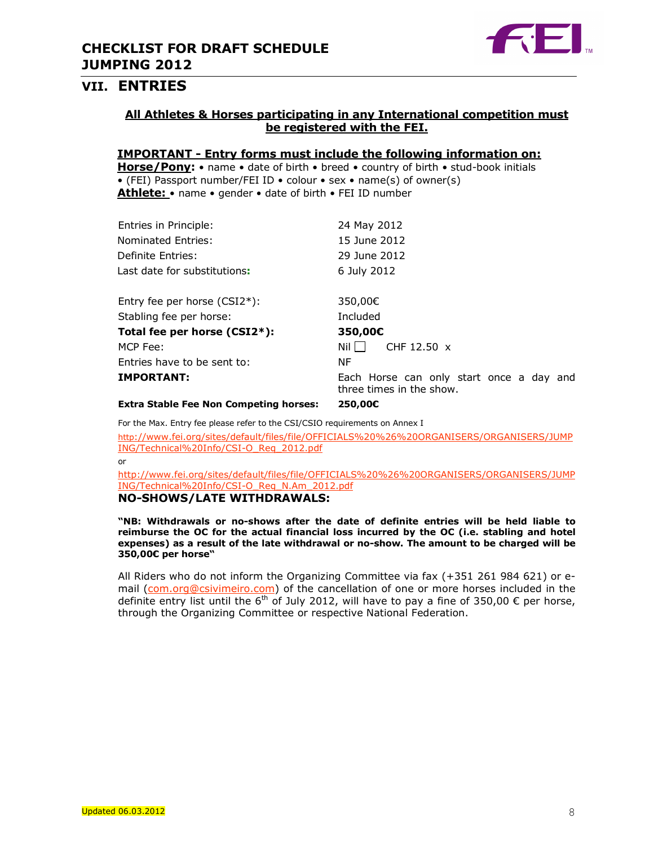

## VII. ENTRIES

## All Athletes & Horses participating in any International competition must be registered with the FEI.

### IMPORTANT - Entry forms must include the following information on:

Horse/Pony: • name • date of birth • breed • country of birth • stud-book initials • (FEI) Passport number/FEI ID • colour • sex • name(s) of owner(s) Athlete: • name • gender • date of birth • FEI ID number

| Entries in Principle:                         | 24 May 2012                                                          |
|-----------------------------------------------|----------------------------------------------------------------------|
| Nominated Entries:                            | 15 June 2012                                                         |
| Definite Entries:                             | 29 June 2012                                                         |
| Last date for substitutions:                  | 6 July 2012                                                          |
|                                               |                                                                      |
| Entry fee per horse $(CSI2*)$ :               | 350,00€                                                              |
| Stabling fee per horse:                       | Included                                                             |
| Total fee per horse (CSI2*):                  | 350,00€                                                              |
| MCP Fee:                                      | Nil I I<br>CHF 12.50 $\times$                                        |
| Entries have to be sent to:                   | ΝF                                                                   |
| <b>IMPORTANT:</b>                             | Each Horse can only start once a day and<br>three times in the show. |
| <b>Extra Stable Fee Non Competing horses:</b> | 250,00€                                                              |

For the Max. Entry fee please refer to the CSI/CSIO requirements on Annex I

http://www.fei.org/sites/default/files/file/OFFICIALS%20%26%20ORGANISERS/ORGANISERS/JUMP ING/Technical%20Info/CSI-O\_Req\_2012.pdf

or

http://www.fei.org/sites/default/files/file/OFFICIALS%20%26%20ORGANISERS/ORGANISERS/JUMP ING/Technical%20Info/CSI-O\_Req\_N.Am\_2012.pdf

## NO-SHOWS/LATE WITHDRAWALS:

"NB: Withdrawals or no-shows after the date of definite entries will be held liable to reimburse the OC for the actual financial loss incurred by the OC (i.e. stabling and hotel expenses) as a result of the late withdrawal or no-show. The amount to be charged will be 350,00€ per horse"

All Riders who do not inform the Organizing Committee via fax (+351 261 984 621) or email (com.org@csivimeiro.com) of the cancellation of one or more horses included in the definite entry list until the 6<sup>th</sup> of July 2012, will have to pay a fine of 350,00  $\epsilon$  per horse, through the Organizing Committee or respective National Federation.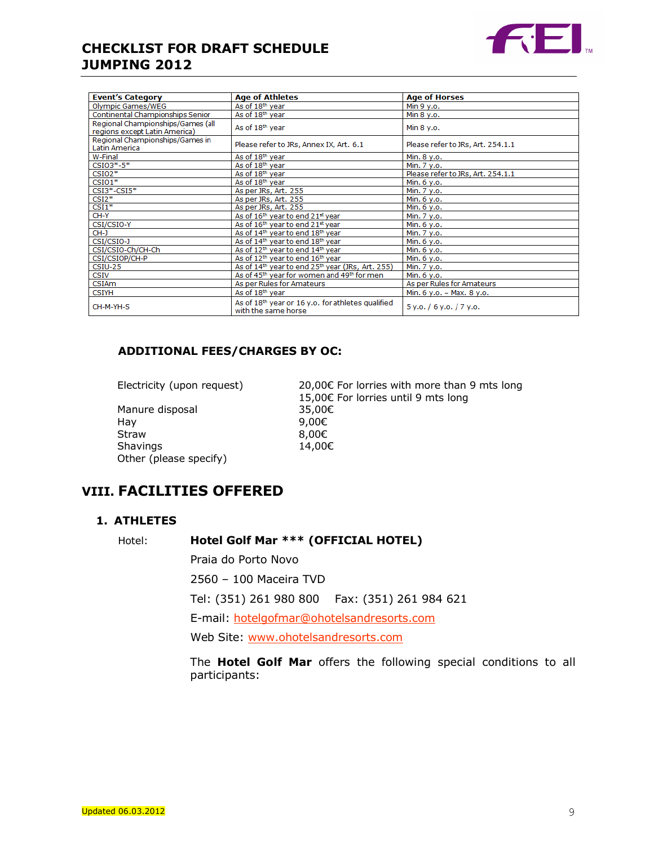

| <b>Event's Category</b>                                            | <b>Age of Athletes</b>                                                   | <b>Age of Horses</b>              |
|--------------------------------------------------------------------|--------------------------------------------------------------------------|-----------------------------------|
| Olympic Games/WEG                                                  | As of 18th year                                                          | Min 9 y.o.                        |
| Continental Championships Senior                                   | As of 18 <sup>th</sup> year                                              | Min 8 y.o.                        |
| Regional Championships/Games (all<br>regions except Latin America) | As of 18 <sup>th</sup> year                                              | Min 8 y.o.                        |
| Regional Championships/Games in<br>Latin America                   | Please refer to JRs, Annex IX, Art. 6.1                                  | Please refer to JRs, Art. 254.1.1 |
| W-Final                                                            | As of 18th year                                                          | Min. 8 y.o.                       |
| $CSIO3*-5*$                                                        | As of 18th year                                                          | Min. 7 y.o.                       |
| $CSIO2*$                                                           | As of 18 <sup>th</sup> year                                              | Please refer to JRs, Art. 254.1.1 |
| $CSIO1*$                                                           | As of 18th year                                                          | Min. 6 y.o.                       |
| $CSI3*-CSI5*$                                                      | As per JRs, Art. 255                                                     | Min. 7 y.o.                       |
| $CSI2*$                                                            | As per JRs, Art. 255                                                     | Min. 6 y.o.                       |
| $CSI1*$                                                            | As per JRs, Art. 255                                                     | Min. 6 y.o.                       |
| CH-Y                                                               | As of 16 <sup>th</sup> year to end 21 <sup>st</sup> year                 | Min. 7 y.o.                       |
| CSI/CSIO-Y                                                         | As of 16 <sup>th</sup> year to end 21 <sup>st</sup> year                 | Min. 6 y.o.                       |
| $CH-J$                                                             | As of 14th year to end 18th year                                         | Min. 7 y.o.                       |
| CSI/CSIO-J                                                         | As of 14th year to end 18th year                                         | Min. 6 y.o.                       |
| CSI/CSIO-Ch/CH-Ch                                                  | As of 12th year to end 14th year                                         | Min. 6 y.o.                       |
| CSI/CSIOP/CH-P                                                     | As of 12 <sup>th</sup> year to end 16 <sup>th</sup> year                 | Min. 6 y.o.                       |
| $CSIU-25$                                                          | As of 14th year to end 25th year (JRs, Art. 255)                         | Min. 7 y.o.                       |
| CSIV                                                               | As of 45 <sup>th</sup> year for women and 49 <sup>th</sup> for men       | Min. 6 y.o.                       |
| <b>CSIAm</b>                                                       | As per Rules for Amateurs                                                | As per Rules for Amateurs         |
| <b>CSIYH</b>                                                       | As of 18 <sup>th</sup> year                                              | Min. 6 y.o. - Max. 8 y.o.         |
| CH-M-YH-S                                                          | As of 18th year or 16 y.o. for athletes qualified<br>with the same horse | 5y.0.76y.0.77y.0.                 |

## ADDITIONAL FEES/CHARGES BY OC:

Manure disposal 35,00€ Hay 9,00€ Straw 8,00€<br>Shavings 14,00€ Shavings Other (please specify)

Electricity (upon request) 20,00€ For lorries with more than 9 mts long 15,00€ For lorries until 9 mts long

# VIII. FACILITIES OFFERED

### 1. ATHLETES

Hotel: Hotel Golf Mar \*\*\* (OFFICIAL HOTEL)

 Praia do Porto Novo 2560 – 100 Maceira TVD Tel: (351) 261 980 800 Fax: (351) 261 984 621 E-mail: hotelgofmar@ohotelsandresorts.com Web Site: www.ohotelsandresorts.com

The **Hotel Golf Mar** offers the following special conditions to all participants: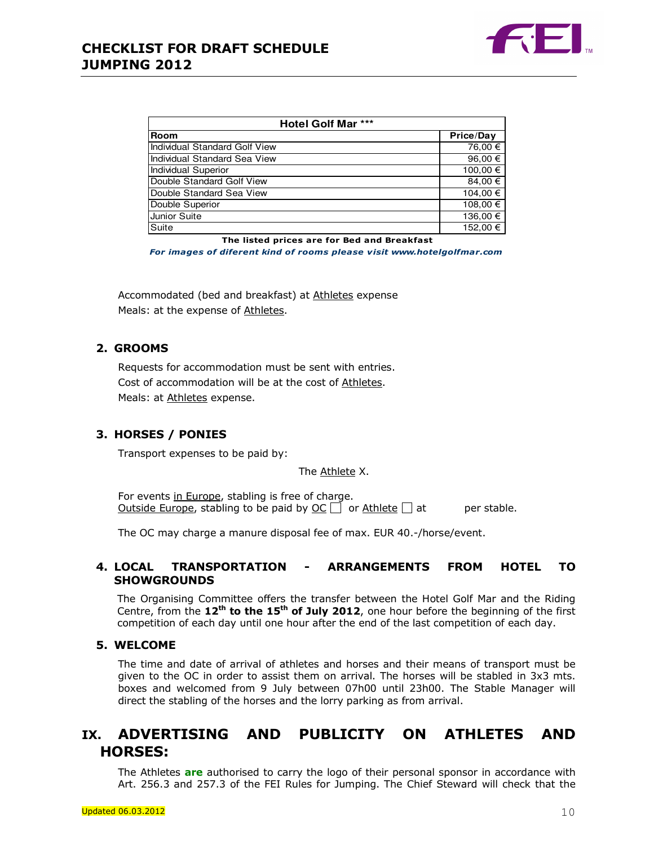

| Hotel Golf Mar ***            |             |
|-------------------------------|-------------|
| <b>Room</b>                   | Price/Day   |
| Individual Standard Golf View | 76,00 €     |
| Individual Standard Sea View  | 96,00 $\in$ |
| <b>Individual Superior</b>    | 100,00 €    |
| Double Standard Golf View     | 84,00 €     |
| Double Standard Sea View      | 104,00 €    |
| Double Superior               | 108,00 €    |
| Junior Suite                  | 136,00 €    |
| Suite                         | 152.00 €    |

The listed prices are for Bed and Breakfast

For images of diferent kind of rooms please visit www.hotelgolfmar.com

Accommodated (bed and breakfast) at Athletes expense Meals: at the expense of Athletes.

## 2. GROOMS

Requests for accommodation must be sent with entries. Cost of accommodation will be at the cost of Athletes. Meals: at Athletes expense.

### 3. HORSES / PONIES

Transport expenses to be paid by:

The Athlete X.

For events in Europe, stabling is free of charge. Outside Europe, stabling to be paid by  $OC \Box$  or Athlete  $\Box$  at per stable.

The OC may charge a manure disposal fee of max. EUR 40.-/horse/event.

### 4. LOCAL TRANSPORTATION - ARRANGEMENTS FROM HOTEL TO **SHOWGROUNDS**

The Organising Committee offers the transfer between the Hotel Golf Mar and the Riding Centre, from the  $12<sup>th</sup>$  to the  $15<sup>th</sup>$  of July 2012, one hour before the beginning of the first competition of each day until one hour after the end of the last competition of each day.

### 5. WELCOME

The time and date of arrival of athletes and horses and their means of transport must be given to the OC in order to assist them on arrival. The horses will be stabled in 3x3 mts. boxes and welcomed from 9 July between 07h00 until 23h00. The Stable Manager will direct the stabling of the horses and the lorry parking as from arrival.

## IX. ADVERTISING AND PUBLICITY ON ATHLETES AND HORSES:

The Athletes are authorised to carry the logo of their personal sponsor in accordance with Art. 256.3 and 257.3 of the FEI Rules for Jumping. The Chief Steward will check that the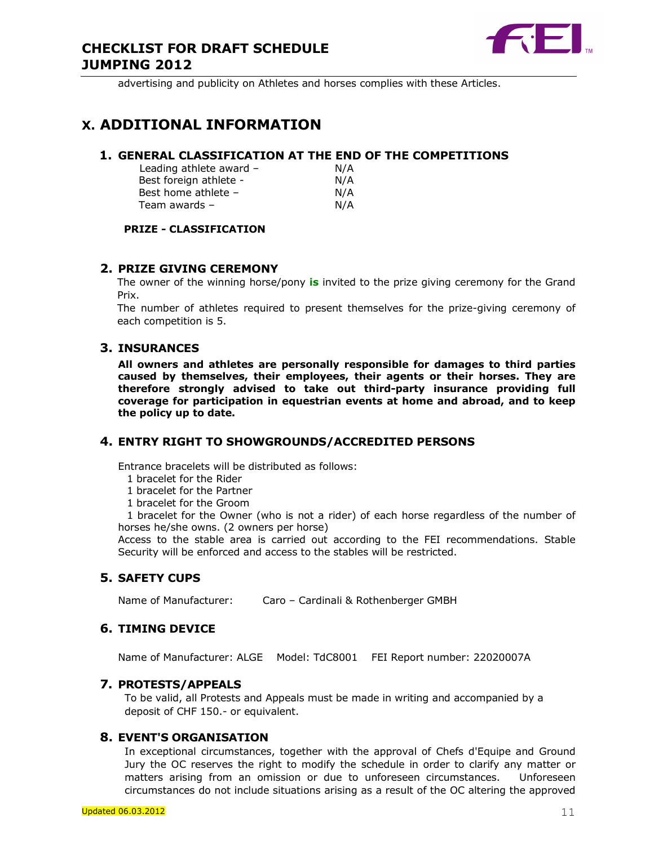

advertising and publicity on Athletes and horses complies with these Articles.

# X. ADDITIONAL INFORMATION

### 1. GENERAL CLASSIFICATION AT THE END OF THE COMPETITIONS

Leading athlete award  $-$  N/A Best foreign athlete - N/A Best home athlete – N/A Team awards – N/A

## PRIZE - CLASSIFICATION

### 2. PRIZE GIVING CEREMONY

The owner of the winning horse/pony is invited to the prize giving ceremony for the Grand Prix.

The number of athletes required to present themselves for the prize-giving ceremony of each competition is 5.

## 3. INSURANCES

All owners and athletes are personally responsible for damages to third parties caused by themselves, their employees, their agents or their horses. They are therefore strongly advised to take out third-party insurance providing full coverage for participation in equestrian events at home and abroad, and to keep the policy up to date.

### 4. ENTRY RIGHT TO SHOWGROUNDS/ACCREDITED PERSONS

Entrance bracelets will be distributed as follows:

- 1 bracelet for the Rider
- 1 bracelet for the Partner
- 1 bracelet for the Groom

 1 bracelet for the Owner (who is not a rider) of each horse regardless of the number of horses he/she owns. (2 owners per horse)

Access to the stable area is carried out according to the FEI recommendations. Stable Security will be enforced and access to the stables will be restricted.

### 5. SAFETY CUPS

Name of Manufacturer: Caro - Cardinali & Rothenberger GMBH

### 6. TIMING DEVICE

Name of Manufacturer: ALGE Model: TdC8001 FEI Report number: 22020007A

### 7. PROTESTS/APPEALS

To be valid, all Protests and Appeals must be made in writing and accompanied by a deposit of CHF 150.- or equivalent.

#### 8. EVENT'S ORGANISATION

In exceptional circumstances, together with the approval of Chefs d'Equipe and Ground Jury the OC reserves the right to modify the schedule in order to clarify any matter or matters arising from an omission or due to unforeseen circumstances. Unforeseen circumstances do not include situations arising as a result of the OC altering the approved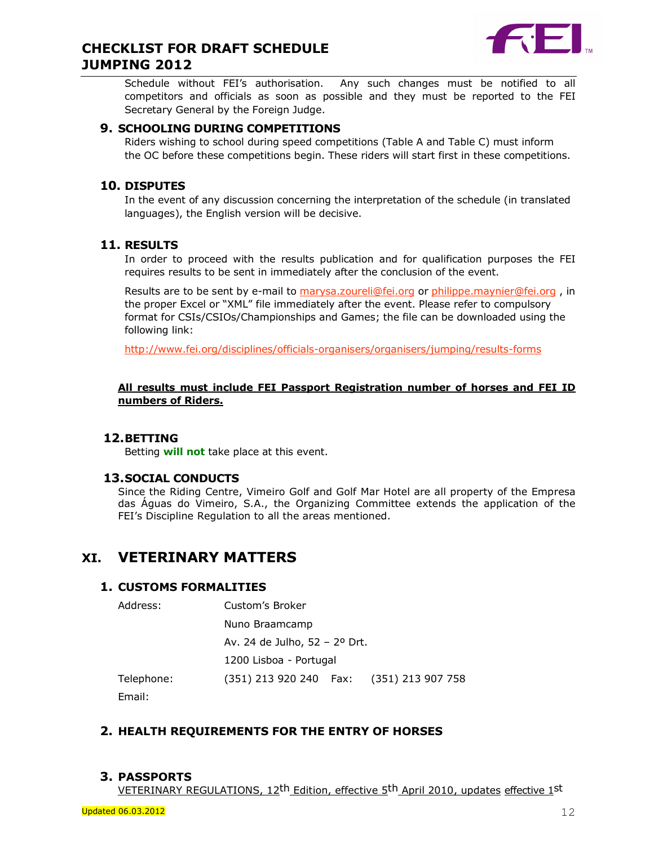

Schedule without FEI's authorisation. Any such changes must be notified to all competitors and officials as soon as possible and they must be reported to the FEI Secretary General by the Foreign Judge.

### 9. SCHOOLING DURING COMPETITIONS

Riders wishing to school during speed competitions (Table A and Table C) must inform the OC before these competitions begin. These riders will start first in these competitions.

## 10. DISPUTES

In the event of any discussion concerning the interpretation of the schedule (in translated languages), the English version will be decisive.

## 11. RESULTS

In order to proceed with the results publication and for qualification purposes the FEI requires results to be sent in immediately after the conclusion of the event.

Results are to be sent by e-mail to marysa.zoureli@fei.org or philippe.maynier@fei.org, in the proper Excel or "XML" file immediately after the event. Please refer to compulsory format for CSIs/CSIOs/Championships and Games; the file can be downloaded using the following link:

http://www.fei.org/disciplines/officials-organisers/organisers/jumping/results-forms

#### All results must include FEI Passport Registration number of horses and FEI ID numbers of Riders.

## 12.BETTING

Betting will not take place at this event.

### 13.SOCIAL CONDUCTS

Since the Riding Centre, Vimeiro Golf and Golf Mar Hotel are all property of the Empresa das Águas do Vimeiro, S.A., the Organizing Committee extends the application of the FEI's Discipline Regulation to all the areas mentioned.

## XI. VETERINARY MATTERS

## 1. CUSTOMS FORMALITIES

| Address:   | Custom's Broker                              |  |
|------------|----------------------------------------------|--|
|            | Nuno Braamcamp                               |  |
|            | Av. 24 de Julho, 52 – 2º Drt.                |  |
|            | 1200 Lisboa - Portugal                       |  |
| Telephone: | (351) 213 920 240   Fax:   (351) 213 907 758 |  |
|            |                                              |  |

Email:

## 2. HEALTH REQUIREMENTS FOR THE ENTRY OF HORSES

## 3. PASSPORTS

VETERINARY REGULATIONS, 12th Edition, effective 5th April 2010, updates effective 1st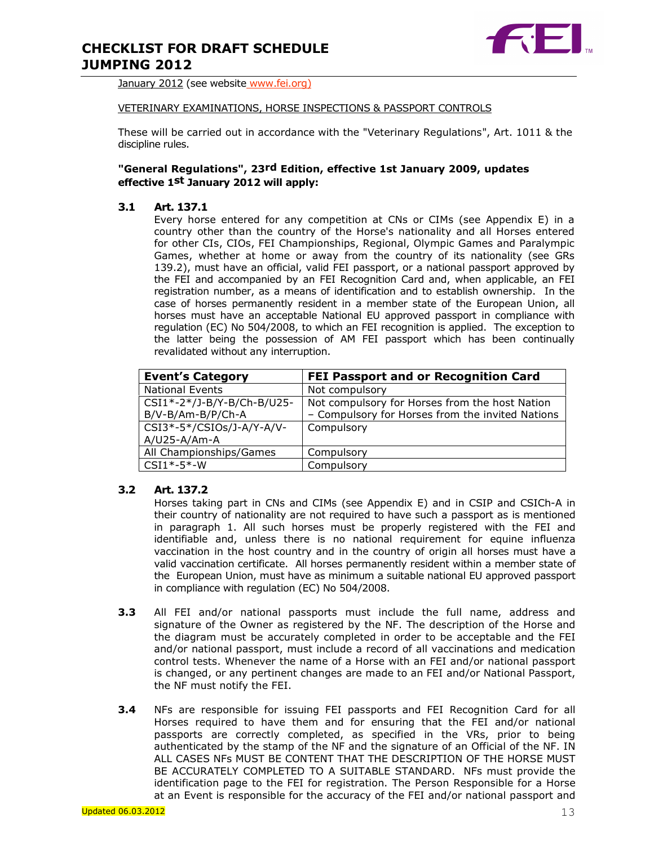

January 2012 (see website www.fei.org)

#### VETERINARY EXAMINATIONS, HORSE INSPECTIONS & PASSPORT CONTROLS

These will be carried out in accordance with the "Veterinary Regulations", Art. 1011 & the discipline rules.

#### "General Regulations", 23rd Edition, effective 1st January 2009, updates effective 1st January 2012 will apply:

#### 3.1 Art. 137.1

Every horse entered for any competition at CNs or CIMs (see Appendix E) in a country other than the country of the Horse's nationality and all Horses entered for other CIs, CIOs, FEI Championships, Regional, Olympic Games and Paralympic Games, whether at home or away from the country of its nationality (see GRs 139.2), must have an official, valid FEI passport, or a national passport approved by the FEI and accompanied by an FEI Recognition Card and, when applicable, an FEI registration number, as a means of identification and to establish ownership. In the case of horses permanently resident in a member state of the European Union, all horses must have an acceptable National EU approved passport in compliance with regulation (EC) No 504/2008, to which an FEI recognition is applied. The exception to the latter being the possession of AM FEI passport which has been continually revalidated without any interruption.

| <b>Event's Category</b>    | <b>FEI Passport and or Recognition Card</b>      |
|----------------------------|--------------------------------------------------|
| <b>National Events</b>     | Not compulsory                                   |
| CSI1*-2*/J-B/Y-B/Ch-B/U25- | Not compulsory for Horses from the host Nation   |
| B/V-B/Am-B/P/Ch-A          | - Compulsory for Horses from the invited Nations |
| CSI3*-5*/CSIOs/J-A/Y-A/V-  | Compulsory                                       |
| $A/U25 - A/Am-A$           |                                                  |
| All Championships/Games    | Compulsory                                       |
| $CSI1*-5*-W$               | Compulsory                                       |

#### 3.2 Art. 137.2

Horses taking part in CNs and CIMs (see Appendix E) and in CSIP and CSICh-A in their country of nationality are not required to have such a passport as is mentioned in paragraph 1. All such horses must be properly registered with the FEI and identifiable and, unless there is no national requirement for equine influenza vaccination in the host country and in the country of origin all horses must have a valid vaccination certificate. All horses permanently resident within a member state of the European Union, must have as minimum a suitable national EU approved passport in compliance with regulation (EC) No 504/2008.

- **3.3** All FEI and/or national passports must include the full name, address and signature of the Owner as registered by the NF. The description of the Horse and the diagram must be accurately completed in order to be acceptable and the FEI and/or national passport, must include a record of all vaccinations and medication control tests. Whenever the name of a Horse with an FEI and/or national passport is changed, or any pertinent changes are made to an FEI and/or National Passport, the NF must notify the FEI.
- **3.4** NFs are responsible for issuing FEI passports and FEI Recognition Card for all Horses required to have them and for ensuring that the FEI and/or national passports are correctly completed, as specified in the VRs, prior to being authenticated by the stamp of the NF and the signature of an Official of the NF. IN ALL CASES NFs MUST BE CONTENT THAT THE DESCRIPTION OF THE HORSE MUST BE ACCURATELY COMPLETED TO A SUITABLE STANDARD. NFs must provide the identification page to the FEI for registration. The Person Responsible for a Horse at an Event is responsible for the accuracy of the FEI and/or national passport and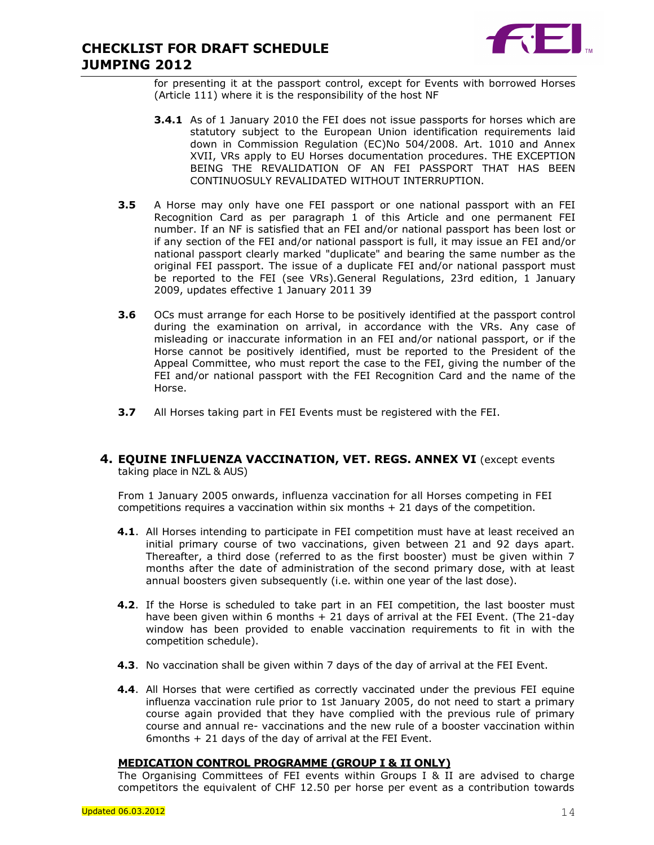

for presenting it at the passport control, except for Events with borrowed Horses (Article 111) where it is the responsibility of the host NF

- **3.4.1** As of 1 January 2010 the FEI does not issue passports for horses which are statutory subject to the European Union identification requirements laid down in Commission Regulation (EC)No 504/2008. Art. 1010 and Annex XVII, VRs apply to EU Horses documentation procedures. THE EXCEPTION BEING THE REVALIDATION OF AN FEI PASSPORT THAT HAS BEEN CONTINUOSULY REVALIDATED WITHOUT INTERRUPTION.
- **3.5** A Horse may only have one FEI passport or one national passport with an FEI Recognition Card as per paragraph 1 of this Article and one permanent FEI number. If an NF is satisfied that an FEI and/or national passport has been lost or if any section of the FEI and/or national passport is full, it may issue an FEI and/or national passport clearly marked "duplicate" and bearing the same number as the original FEI passport. The issue of a duplicate FEI and/or national passport must be reported to the FEI (see VRs).General Regulations, 23rd edition, 1 January 2009, updates effective 1 January 2011 39
- **3.6** OCs must arrange for each Horse to be positively identified at the passport control during the examination on arrival, in accordance with the VRs. Any case of misleading or inaccurate information in an FEI and/or national passport, or if the Horse cannot be positively identified, must be reported to the President of the Appeal Committee, who must report the case to the FEI, giving the number of the FEI and/or national passport with the FEI Recognition Card and the name of the Horse.
- **3.7** All Horses taking part in FEI Events must be registered with the FEI.

#### 4. EQUINE INFLUENZA VACCINATION, VET. REGS. ANNEX VI (except events taking place in NZL & AUS)

From 1 January 2005 onwards, influenza vaccination for all Horses competing in FEI competitions requires a vaccination within six months + 21 days of the competition.

- 4.1. All Horses intending to participate in FEI competition must have at least received an initial primary course of two vaccinations, given between 21 and 92 days apart. Thereafter, a third dose (referred to as the first booster) must be given within 7 months after the date of administration of the second primary dose, with at least annual boosters given subsequently (i.e. within one year of the last dose).
- 4.2. If the Horse is scheduled to take part in an FEI competition, the last booster must have been given within 6 months + 21 days of arrival at the FEI Event. (The 21-day window has been provided to enable vaccination requirements to fit in with the competition schedule).
- 4.3. No vaccination shall be given within 7 days of the day of arrival at the FEI Event.
- 4.4. All Horses that were certified as correctly vaccinated under the previous FEI equine influenza vaccination rule prior to 1st January 2005, do not need to start a primary course again provided that they have complied with the previous rule of primary course and annual re- vaccinations and the new rule of a booster vaccination within 6months + 21 days of the day of arrival at the FEI Event.

### MEDICATION CONTROL PROGRAMME (GROUP I & II ONLY)

The Organising Committees of FEI events within Groups I & II are advised to charge competitors the equivalent of CHF 12.50 per horse per event as a contribution towards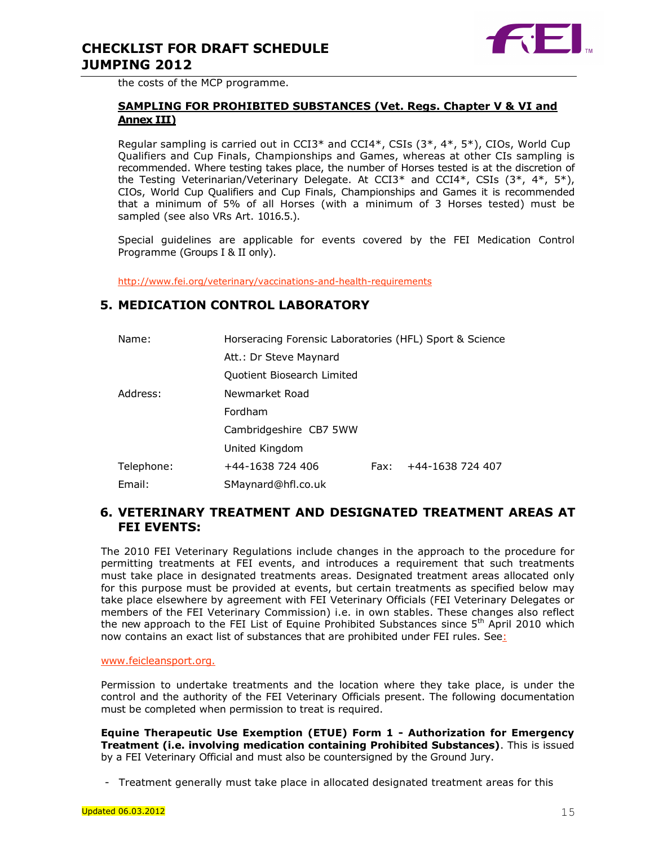

the costs of the MCP programme.

#### SAMPLING FOR PROHIBITED SUBSTANCES (Vet. Regs. Chapter V & VI and Annex III)

Regular sampling is carried out in CCI3\* and CCI4\*, CSIs (3\*, 4\*, 5\*), CIOs, World Cup Qualifiers and Cup Finals, Championships and Games, whereas at other CIs sampling is recommended. Where testing takes place, the number of Horses tested is at the discretion of the Testing Veterinarian/Veterinary Delegate. At CCI3<sup>\*</sup> and CCI4<sup>\*</sup>, CSIs (3<sup>\*</sup>, 4<sup>\*</sup>, 5<sup>\*</sup>), CIOs, World Cup Qualifiers and Cup Finals, Championships and Games it is recommended that a minimum of 5% of all Horses (with a minimum of 3 Horses tested) must be sampled (see also VRs Art. 1016.5.).

Special guidelines are applicable for events covered by the FEI Medication Control Programme (Groups I & II only).

http://www.fei.org/veterinary/vaccinations-and-health-requirements

## 5. MEDICATION CONTROL LABORATORY

| Name:      | Horseracing Forensic Laboratories (HFL) Sport & Science |      |                  |
|------------|---------------------------------------------------------|------|------------------|
|            | Att.: Dr Steve Maynard                                  |      |                  |
|            | Quotient Biosearch Limited                              |      |                  |
| Address:   | Newmarket Road                                          |      |                  |
|            | Fordham                                                 |      |                  |
|            | Cambridgeshire CB7 5WW                                  |      |                  |
|            | United Kingdom                                          |      |                  |
| Telephone: | +44-1638 724 406                                        | Fax: | +44-1638 724 407 |
| Email:     | SMaynard@hfl.co.uk                                      |      |                  |

## 6. VETERINARY TREATMENT AND DESIGNATED TREATMENT AREAS AT FEI EVENTS:

The 2010 FEI Veterinary Regulations include changes in the approach to the procedure for permitting treatments at FEI events, and introduces a requirement that such treatments must take place in designated treatments areas. Designated treatment areas allocated only for this purpose must be provided at events, but certain treatments as specified below may take place elsewhere by agreement with FEI Veterinary Officials (FEI Veterinary Delegates or members of the FEI Veterinary Commission) i.e. in own stables. These changes also reflect the new approach to the FEI List of Equine Prohibited Substances since 5<sup>th</sup> April 2010 which now contains an exact list of substances that are prohibited under FEI rules. See:

#### www.feicleansport.org.

Permission to undertake treatments and the location where they take place, is under the control and the authority of the FEI Veterinary Officials present. The following documentation must be completed when permission to treat is required.

Equine Therapeutic Use Exemption (ETUE) Form 1 - Authorization for Emergency Treatment (i.e. involving medication containing Prohibited Substances). This is issued by a FEI Veterinary Official and must also be countersigned by the Ground Jury.

- Treatment generally must take place in allocated designated treatment areas for this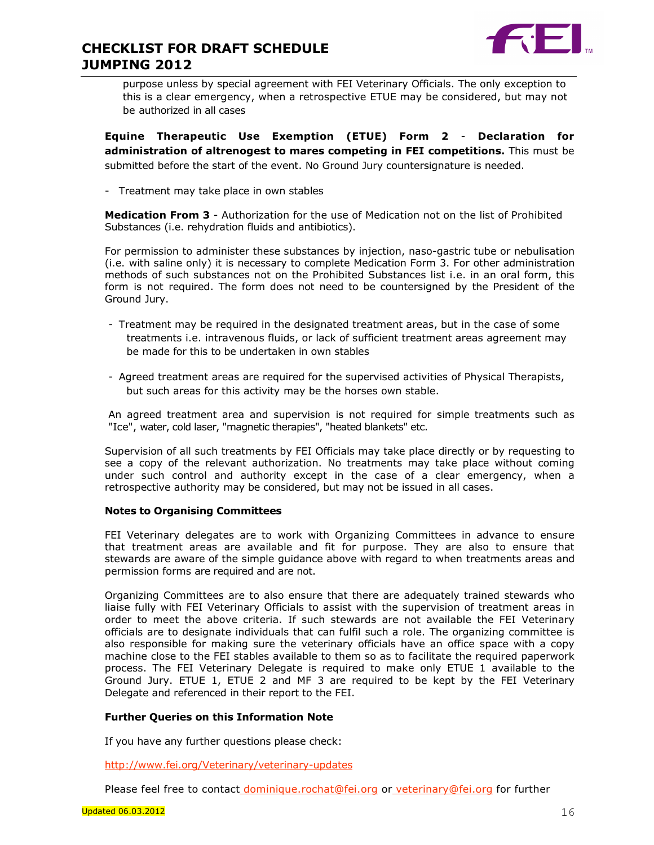

purpose unless by special agreement with FEI Veterinary Officials. The only exception to this is a clear emergency, when a retrospective ETUE may be considered, but may not be authorized in all cases

Equine Therapeutic Use Exemption (ETUE) Form 2 - Declaration for administration of altrenogest to mares competing in FEI competitions. This must be submitted before the start of the event. No Ground Jury countersignature is needed.

- Treatment may take place in own stables

Medication From 3 - Authorization for the use of Medication not on the list of Prohibited Substances (i.e. rehydration fluids and antibiotics).

For permission to administer these substances by injection, naso-gastric tube or nebulisation (i.e. with saline only) it is necessary to complete Medication Form 3. For other administration methods of such substances not on the Prohibited Substances list i.e. in an oral form, this form is not required. The form does not need to be countersigned by the President of the Ground Jury.

- Treatment may be required in the designated treatment areas, but in the case of some treatments i.e. intravenous fluids, or lack of sufficient treatment areas agreement may be made for this to be undertaken in own stables
- Agreed treatment areas are required for the supervised activities of Physical Therapists, but such areas for this activity may be the horses own stable.

An agreed treatment area and supervision is not required for simple treatments such as "Ice", water, cold laser, "magnetic therapies", "heated blankets" etc.

Supervision of all such treatments by FEI Officials may take place directly or by requesting to see a copy of the relevant authorization. No treatments may take place without coming under such control and authority except in the case of a clear emergency, when a retrospective authority may be considered, but may not be issued in all cases.

#### Notes to Organising Committees

FEI Veterinary delegates are to work with Organizing Committees in advance to ensure that treatment areas are available and fit for purpose. They are also to ensure that stewards are aware of the simple guidance above with regard to when treatments areas and permission forms are required and are not.

Organizing Committees are to also ensure that there are adequately trained stewards who liaise fully with FEI Veterinary Officials to assist with the supervision of treatment areas in order to meet the above criteria. If such stewards are not available the FEI Veterinary officials are to designate individuals that can fulfil such a role. The organizing committee is also responsible for making sure the veterinary officials have an office space with a copy machine close to the FEI stables available to them so as to facilitate the required paperwork process. The FEI Veterinary Delegate is required to make only ETUE 1 available to the Ground Jury. ETUE 1, ETUE 2 and MF 3 are required to be kept by the FEI Veterinary Delegate and referenced in their report to the FEI.

#### Further Queries on this Information Note

If you have any further questions please check:

http://www.fei.org/Veterinary/veterinary-updates

Please feel free to contact dominique.rochat@fei.org or veterinary@fei.org for further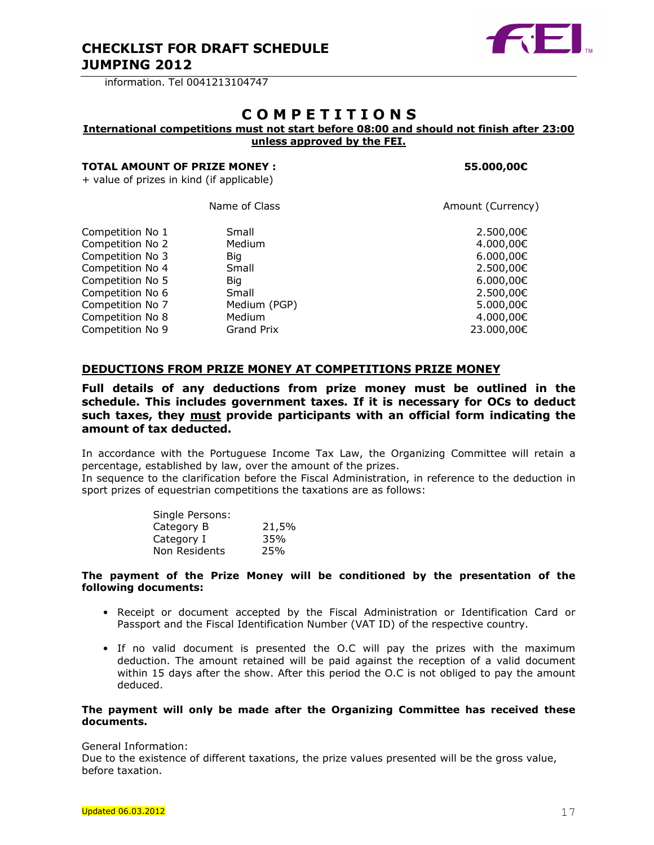

information. Tel 0041213104747

## C O M P E T I T I O N S

## International competitions must not start before 08:00 and should not finish after 23:00

unless approved by the FEI.

#### TOTAL AMOUNT OF PRIZE MONEY : 55.000.00€

+ value of prizes in kind (if applicable)

|                  | Name of Class     | Amount (Currency) |
|------------------|-------------------|-------------------|
| Competition No 1 | Small             | 2.500,00€         |
| Competition No 2 | Medium            | 4.000,00€         |
| Competition No 3 | Big               | 6.000,00€         |
| Competition No 4 | Small             | 2.500,00€         |
| Competition No 5 | Big               | 6.000,00€         |
| Competition No 6 | Small             | 2.500,00€         |
| Competition No 7 | Medium (PGP)      | 5.000,00€         |
| Competition No 8 | Medium            | 4.000,00€         |
| Competition No 9 | <b>Grand Prix</b> | 23.000,00€        |

### DEDUCTIONS FROM PRIZE MONEY AT COMPETITIONS PRIZE MONEY

Full details of any deductions from prize money must be outlined in the schedule. This includes government taxes. If it is necessary for OCs to deduct such taxes, they must provide participants with an official form indicating the amount of tax deducted.

In accordance with the Portuguese Income Tax Law, the Organizing Committee will retain a percentage, established by law, over the amount of the prizes.

In sequence to the clarification before the Fiscal Administration, in reference to the deduction in sport prizes of equestrian competitions the taxations are as follows:

| 21,5% |
|-------|
| 35%   |
| 25%   |
|       |

#### The payment of the Prize Money will be conditioned by the presentation of the following documents:

- Receipt or document accepted by the Fiscal Administration or Identification Card or Passport and the Fiscal Identification Number (VAT ID) of the respective country.
- If no valid document is presented the O.C will pay the prizes with the maximum deduction. The amount retained will be paid against the reception of a valid document within 15 days after the show. After this period the O.C is not obliged to pay the amount deduced.

#### The payment will only be made after the Organizing Committee has received these documents.

General Information:

Due to the existence of different taxations, the prize values presented will be the gross value, before taxation.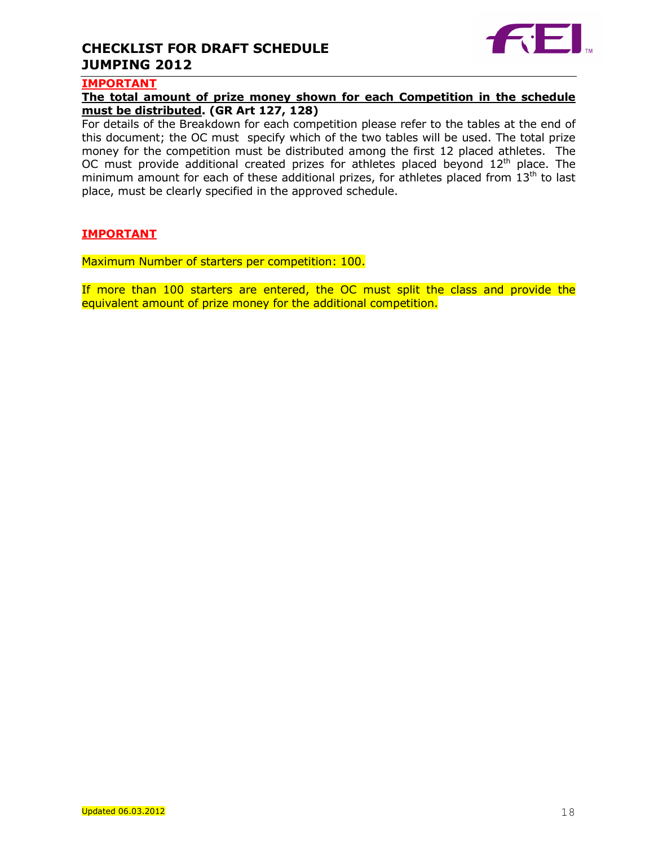

## IMPORTANT

## The total amount of prize money shown for each Competition in the schedule must be distributed. (GR Art 127, 128)

For details of the Breakdown for each competition please refer to the tables at the end of this document; the OC must specify which of the two tables will be used. The total prize money for the competition must be distributed among the first 12 placed athletes. The OC must provide additional created prizes for athletes placed beyond  $12<sup>th</sup>$  place. The minimum amount for each of these additional prizes, for athletes placed from  $13<sup>th</sup>$  to last place, must be clearly specified in the approved schedule.

## IMPORTANT

Maximum Number of starters per competition: 100.

If more than 100 starters are entered, the OC must split the class and provide the equivalent amount of prize money for the additional competition.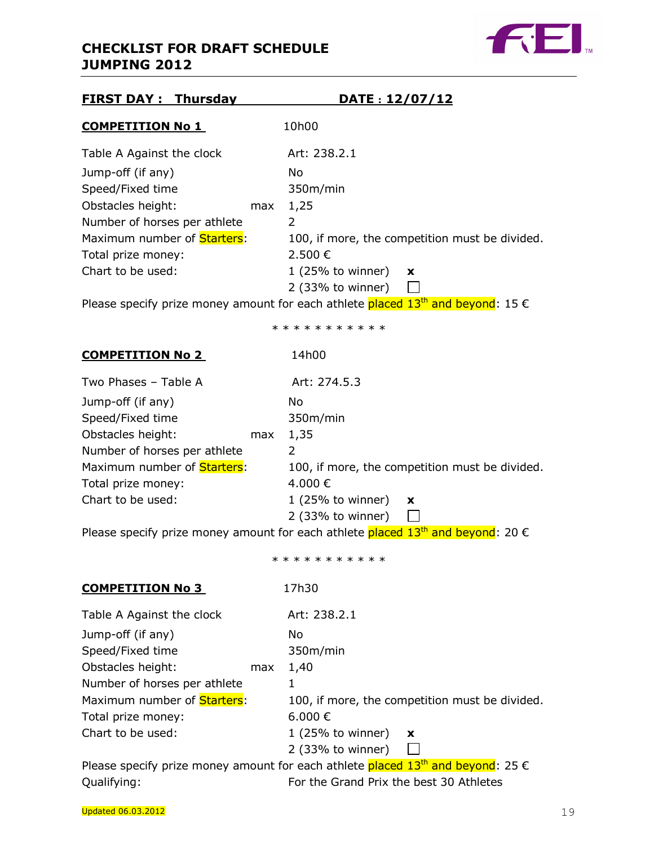

| <b>FIRST DAY: Thursday</b>          | DATE: 12/07/12                                                                                       |
|-------------------------------------|------------------------------------------------------------------------------------------------------|
| <b>COMPETITION No 1</b>             | 10h00                                                                                                |
| Table A Against the clock           | Art: 238.2.1                                                                                         |
| Jump-off (if any)                   | No                                                                                                   |
| Speed/Fixed time                    | 350m/min                                                                                             |
| Obstacles height:<br>max            | 1,25                                                                                                 |
| Number of horses per athlete        | $\overline{2}$                                                                                       |
| Maximum number of <b>Starters</b> : | 100, if more, the competition must be divided.                                                       |
| Total prize money:                  | 2.500€                                                                                               |
| Chart to be used:                   | $1(25\% \text{ to winner})$<br>X                                                                     |
|                                     | $2$ (33% to winner)                                                                                  |
|                                     | Please specify prize money amount for each athlete placed $13th$ and beyond: 15 $\epsilon$           |
|                                     | * * * * * * * * * * *                                                                                |
| <b>COMPETITION No 2</b>             | 14h00                                                                                                |
| Two Phases - Table A                | Art: 274.5.3                                                                                         |
| Jump-off (if any)                   | No                                                                                                   |
| Speed/Fixed time                    | 350m/min                                                                                             |
| Obstacles height:<br>max            | 1,35                                                                                                 |
| Number of horses per athlete        | 2                                                                                                    |
| Maximum number of <b>Starters</b> : | 100, if more, the competition must be divided.                                                       |
| Total prize money:                  | 4.000€                                                                                               |
| Chart to be used:                   | $1(25\% \text{ to winner})$<br>x                                                                     |
|                                     | 2 (33% to winner)                                                                                    |
|                                     | Please specify prize money amount for each athlete placed 13 <sup>th</sup> and beyond: 20 $\epsilon$ |
|                                     | * * * * * * * * * * *                                                                                |
| <b>COMPETITION No 3</b>             | 17h30                                                                                                |
| Table A Against the clock           | Art: 238.2.1                                                                                         |
| Jump-off (if any)                   | No                                                                                                   |
| Speed/Fixed time                    | 350m/min                                                                                             |
| Obstacles height:<br>max            | 1,40                                                                                                 |
| Number of horses per athlete        | 1                                                                                                    |
| Maximum number of Starters:         | 100, if more, the competition must be divided.                                                       |
| Total prize money:                  | 6.000€                                                                                               |
| Chart to be used:                   | $1$ (25% to winner)<br>X                                                                             |
|                                     | 2 (33% to winner)                                                                                    |
|                                     | Please specify prize money amount for each athlete placed 13 <sup>th</sup> and beyond: 25 $\epsilon$ |
| Qualifying:                         | For the Grand Prix the best 30 Athletes                                                              |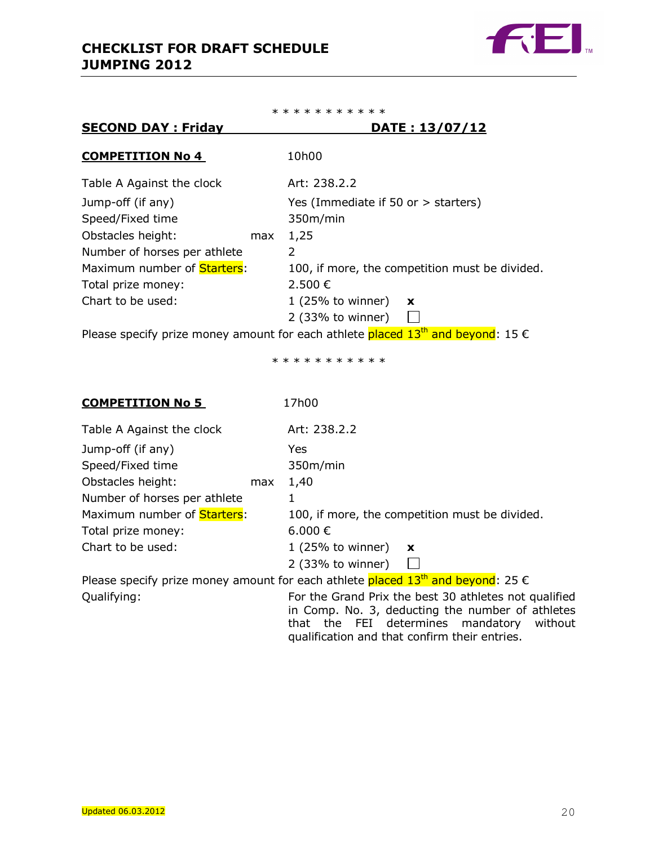SECOND DAY : Friday



\* \* \* \* \* \* \* \* \* \* \*

| JLJUND DAT TINGV             |     |                                       | PAIL 1 19/ V/ / 14                             |
|------------------------------|-----|---------------------------------------|------------------------------------------------|
| <b>COMPETITION No 4</b>      |     | 10h00                                 |                                                |
| Table A Against the clock    |     | Art: 238.2.2                          |                                                |
| Jump-off (if any)            |     | Yes (Immediate if 50 or $>$ starters) |                                                |
| Speed/Fixed time             |     | 350m/min                              |                                                |
| Obstacles height:            | max | 1,25                                  |                                                |
| Number of horses per athlete |     | 2                                     |                                                |
| Maximum number of Starters:  |     |                                       | 100, if more, the competition must be divided. |
| Total prize money:           |     | 2.500€                                |                                                |
| Chart to be used:            |     | $1(25%$ to winner)                    | $\mathbf{x}$                                   |
|                              |     | 2 (33% to winner)                     |                                                |
|                              |     |                                       |                                                |

Please specify prize money amount for each athlete placed  $13<sup>th</sup>$  and beyond: 15  $\epsilon$ 

\* \* \* \* \* \* \* \* \* \*

| <b>COMPETITION No 5</b>                                                                    |     | 17h00               |                                                |
|--------------------------------------------------------------------------------------------|-----|---------------------|------------------------------------------------|
| Table A Against the clock                                                                  |     | Art: 238.2.2        |                                                |
| Jump-off (if any)                                                                          |     | Yes                 |                                                |
| Speed/Fixed time                                                                           |     | 350m/min            |                                                |
| Obstacles height:                                                                          | max | 1,40                |                                                |
| Number of horses per athlete                                                               |     |                     |                                                |
| Maximum number of <b>Starters</b> :                                                        |     |                     | 100, if more, the competition must be divided. |
| Total prize money:                                                                         |     | 6.000 €             |                                                |
| Chart to be used:                                                                          |     | $1$ (25% to winner) | $\mathbf x$                                    |
|                                                                                            |     | 2 (33% to winner)   |                                                |
| Please specify prize money amount for each athlete placed $13th$ and beyond: 25 $\epsilon$ |     |                     |                                                |

Qualifying: For the Grand Prix the best 30 athletes not qualified in Comp. No. 3, deducting the number of athletes that the FEI determines mandatory without qualification and that confirm their entries.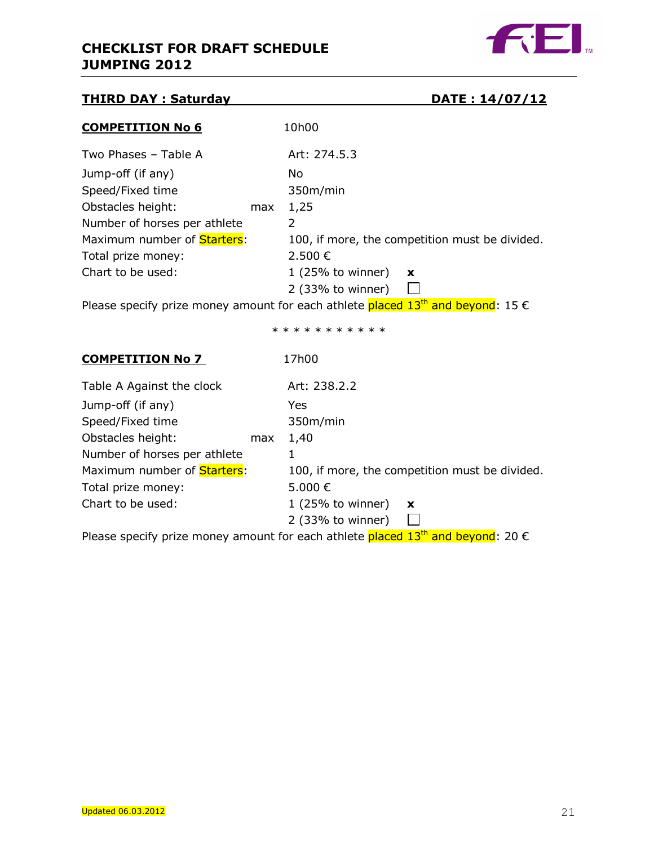

## THIRD DAY : Saturday DATE : 14/07/12

|  |  |  | DATE: 14/07/12 |  |  |  |  |
|--|--|--|----------------|--|--|--|--|
|  |  |  |                |  |  |  |  |

| <b>COMPETITION No 6</b>             |     | 10h00                                                                                                                                                                                                                                                                                                                                                        |
|-------------------------------------|-----|--------------------------------------------------------------------------------------------------------------------------------------------------------------------------------------------------------------------------------------------------------------------------------------------------------------------------------------------------------------|
| Two Phases - Table A                |     | Art: 274.5.3                                                                                                                                                                                                                                                                                                                                                 |
| Jump-off (if any)                   |     | No.                                                                                                                                                                                                                                                                                                                                                          |
| Speed/Fixed time                    |     | 350m/min                                                                                                                                                                                                                                                                                                                                                     |
| Obstacles height:                   | max | 1,25                                                                                                                                                                                                                                                                                                                                                         |
| Number of horses per athlete        |     | 2                                                                                                                                                                                                                                                                                                                                                            |
| Maximum number of <b>Starters</b> : |     | 100, if more, the competition must be divided.                                                                                                                                                                                                                                                                                                               |
| Total prize money:                  |     | 2.500 €                                                                                                                                                                                                                                                                                                                                                      |
| Chart to be used:                   |     | $1$ (25% to winner)<br>$\boldsymbol{\mathsf{x}}$                                                                                                                                                                                                                                                                                                             |
|                                     |     | 2 (33% to winner)                                                                                                                                                                                                                                                                                                                                            |
|                                     |     | te de la constitución de la constitución de la constitución de la constitución de la constitución de la constitución<br><u> De Santa Carlos de Santa Carlos de Santa Carlos de Santa Carlos de Santa Carlos de Santa Carlos de Santa Carlos de Santa Carlos de Santa Carlos de Santa Carlos de Santa Carlos de Santa Carlos de Santa Carlos de Santa Car</u> |

Please specify prize money amount for each athlete placed  $13<sup>th</sup>$  and beyond: 15  $\epsilon$ 

\* \* \* \* \* \* \* \* \* \*

| <b>COMPETITION No 7</b>             |     | 17h00                                                                                                           |                                                |
|-------------------------------------|-----|-----------------------------------------------------------------------------------------------------------------|------------------------------------------------|
| Table A Against the clock           |     | Art: 238.2.2                                                                                                    |                                                |
| Jump-off (if any)                   |     | Yes                                                                                                             |                                                |
| Speed/Fixed time                    |     | 350m/min                                                                                                        |                                                |
| Obstacles height:                   | max | 1,40                                                                                                            |                                                |
| Number of horses per athlete        |     |                                                                                                                 |                                                |
| Maximum number of <b>Starters</b> : |     |                                                                                                                 | 100, if more, the competition must be divided. |
| Total prize money:                  |     | 5.000€                                                                                                          |                                                |
| Chart to be used:                   |     | $1(25%$ to winner)                                                                                              | $\mathbf{x}$                                   |
|                                     |     | 2 (33% to winner)                                                                                               |                                                |
|                                     |     | ta dia mandria dia mpikambanya di kacamatan ing Kabupatèn Bandar Sulawest Sulawest Sulawest Sulawest Sulawest S |                                                |

Please specify prize money amount for each athlete placed  $13<sup>th</sup>$  and beyond: 20  $\epsilon$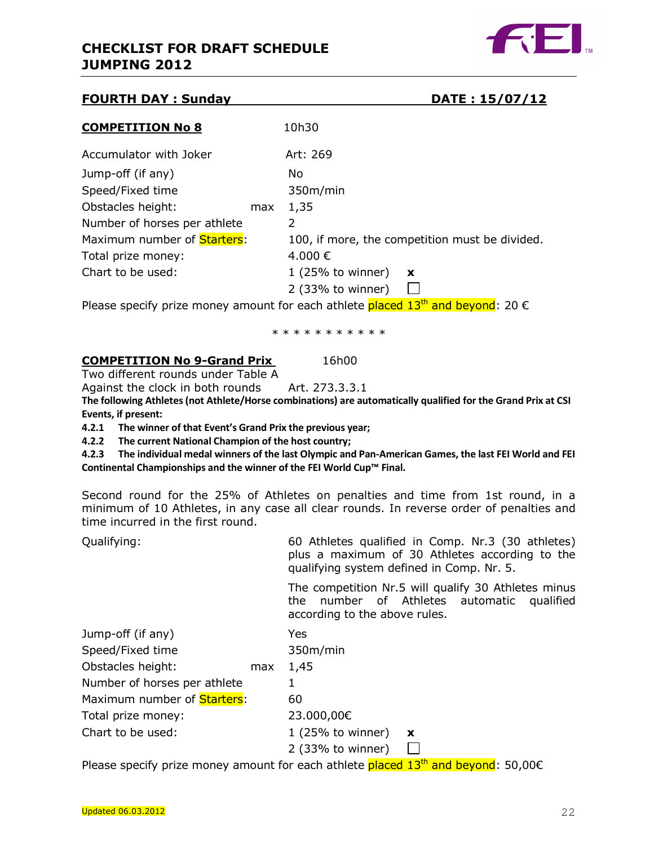

## **FOURTH DAY : Sunday DATE : 15/07/12/12/12 12:07/12 13:07:07 PATE : 15/07/12 13:07/12 13:07/12 13:07/12 13:07/12**

|--|

| <b>COMPETITION No 8</b>             |     | 10h30              |                                                |
|-------------------------------------|-----|--------------------|------------------------------------------------|
| Accumulator with Joker              |     | Art: 269           |                                                |
| Jump-off (if any)                   |     | No.                |                                                |
| Speed/Fixed time                    |     | 350m/min           |                                                |
| Obstacles height:                   | max | 1,35               |                                                |
| Number of horses per athlete        |     | 2                  |                                                |
| Maximum number of <b>Starters</b> : |     |                    | 100, if more, the competition must be divided. |
| Total prize money:                  |     | 4.000€             |                                                |
| Chart to be used:                   |     | $1(25%$ to winner) | $\boldsymbol{\mathsf{x}}$                      |
|                                     |     | 2 (33% to winner)  |                                                |

Please specify prize money amount for each athlete placed  $13<sup>th</sup>$  and beyond: 20  $\epsilon$ 

\* \* \* \* \* \* \* \* \* \*

## **COMPETITION No 9-Grand Prix** 16h00

Two different rounds under Table A

Against the clock in both rounds Art. 273.3.3.1

The following Athletes (not Athlete/Horse combinations) are automatically qualified for the Grand Prix at CSI Events, if present:

4.2.1 The winner of that Event's Grand Prix the previous year;

4.2.2 The current National Champion of the host country;

4.2.3 The individual medal winners of the last Olympic and Pan-American Games, the last FEI World and FEI Continental Championships and the winner of the FEI World Cup™ Final.

Second round for the 25% of Athletes on penalties and time from 1st round, in a minimum of 10 Athletes, in any case all clear rounds. In reverse order of penalties and time incurred in the first round.

Qualifying: 60 Athletes qualified in Comp. Nr.3 (30 athletes) plus a maximum of 30 Athletes according to the qualifying system defined in Comp. Nr. 5.

> The competition Nr.5 will qualify 30 Athletes minus the number of Athletes automatic qualified according to the above rules.

| Jump-off (if any)            |     | Yes                           |  |
|------------------------------|-----|-------------------------------|--|
| Speed/Fixed time             |     | 350m/min                      |  |
| Obstacles height:            | max | 1,45                          |  |
| Number of horses per athlete |     |                               |  |
| Maximum number of Starters:  |     | 60                            |  |
| Total prize money:           |     | 23.000,00€                    |  |
| Chart to be used:            |     | 1 (25% to winner) $\mathbf x$ |  |
|                              |     | 2 (33% to winner)             |  |

Please specify prize money amount for each athlete placed  $13<sup>th</sup>$  and beyond: 50,00 $\epsilon$